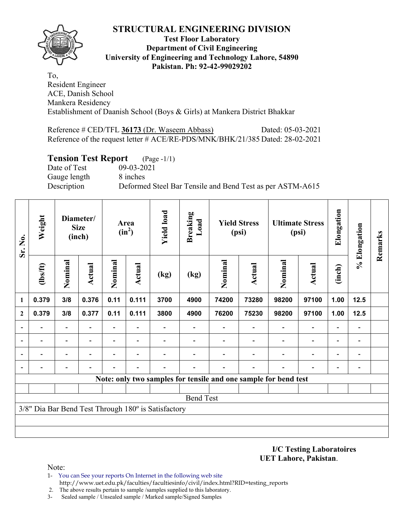

#### **Test Floor Laboratory Department of Civil Engineering University of Engineering and Technology Lahore, 54890 Pakistan. Ph: 92-42-99029202**

To, Resident Engineer ACE, Danish School Mankera Residency Establishment of Daanish School (Boys & Girls) at Mankera District Bhakkar

Reference # CED/TFL 36173 (Dr. Waseem Abbass) Dated: 05-03-2021 Reference of the request letter # ACE/RE-PDS/MNK/BHK/21/385 Dated: 28-02-2021

## **Tension Test Report** (Page -1/1)

Date of Test 09-03-2021 Gauge length 8 inches

Description Deformed Steel Bar Tensile and Bend Test as per ASTM-A615

| Sr. No.                  | Weight         |                          | Diameter/<br><b>Size</b><br>(inch) |         | Area<br>$(in^2)$         | <b>Yield load</b>                                   | <b>Breaking</b><br>Load |         | <b>Yield Stress</b><br>(psi)                                    |                          | <b>Ultimate Stress</b><br>(psi) | Elongation               | % Elongation                 | Remarks |
|--------------------------|----------------|--------------------------|------------------------------------|---------|--------------------------|-----------------------------------------------------|-------------------------|---------|-----------------------------------------------------------------|--------------------------|---------------------------------|--------------------------|------------------------------|---------|
|                          | $\frac{2}{10}$ | Nominal                  | <b>Actual</b>                      | Nominal | Actual                   | (kg)                                                | (kg)                    | Nominal | <b>Actual</b>                                                   | Nominal                  | <b>Actual</b>                   | (inch)                   |                              |         |
| $\mathbf{1}$             | 0.379          | 3/8                      | 0.376                              | 0.11    | 0.111                    | 3700                                                | 4900                    | 74200   | 73280                                                           | 98200                    | 97100                           | 1.00                     | $12.5$                       |         |
| $\overline{2}$           | 0.379          | 3/8                      | 0.377                              | 0.11    | 0.111                    | 3800                                                | 4900                    | 76200   | 75230                                                           | 98200                    | 97100                           | 1.00                     | $12.5$                       |         |
| $\overline{\phantom{a}}$ |                |                          |                                    |         |                          |                                                     |                         |         |                                                                 |                          |                                 |                          | $\qquad \qquad \blacksquare$ |         |
| $\blacksquare$           |                | $\overline{\phantom{a}}$ |                                    |         | $\overline{\phantom{0}}$ |                                                     |                         |         |                                                                 |                          |                                 |                          | $\qquad \qquad \blacksquare$ |         |
| $\blacksquare$           | $\blacksquare$ | $\blacksquare$           | $\overline{\phantom{a}}$           |         | $\overline{\phantom{a}}$ |                                                     |                         |         |                                                                 | $\overline{\phantom{a}}$ | $\overline{\phantom{0}}$        | $\overline{\phantom{a}}$ | $\blacksquare$               |         |
| $\overline{\phantom{a}}$ |                |                          |                                    |         |                          |                                                     |                         |         |                                                                 |                          | $\overline{\phantom{0}}$        | $\overline{\phantom{0}}$ | $\blacksquare$               |         |
|                          |                |                          |                                    |         |                          |                                                     |                         |         | Note: only two samples for tensile and one sample for bend test |                          |                                 |                          |                              |         |
|                          |                |                          |                                    |         |                          |                                                     |                         |         |                                                                 |                          |                                 |                          |                              |         |
|                          |                |                          |                                    |         |                          |                                                     | <b>Bend Test</b>        |         |                                                                 |                          |                                 |                          |                              |         |
|                          |                |                          |                                    |         |                          | 3/8" Dia Bar Bend Test Through 180° is Satisfactory |                         |         |                                                                 |                          |                                 |                          |                              |         |
|                          |                |                          |                                    |         |                          |                                                     |                         |         |                                                                 |                          |                                 |                          |                              |         |
|                          |                |                          |                                    |         |                          |                                                     |                         |         |                                                                 |                          |                                 |                          |                              |         |

**I/C Testing Laboratoires UET Lahore, Pakistan**.

- 1- You can See your reports On Internet in the following web site http://www.uet.edu.pk/faculties/facultiesinfo/civil/index.html?RID=testing\_reports
- 2. The above results pertain to sample /samples supplied to this laboratory.
- 3- Sealed sample / Unsealed sample / Marked sample/Signed Samples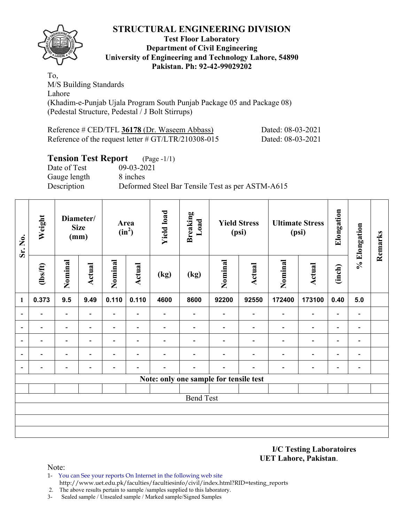

#### **Test Floor Laboratory Department of Civil Engineering University of Engineering and Technology Lahore, 54890 Pakistan. Ph: 92-42-99029202**

To, M/S Building Standards Lahore (Khadim-e-Punjab Ujala Program South Punjab Package 05 and Package 08) (Pedestal Structure, Pedestal / J Bolt Stirrups)

| Reference # CED/TFL 36178 (Dr. Waseem Abbass)          | Dated: 08-03-2021 |
|--------------------------------------------------------|-------------------|
| Reference of the request letter $\#$ GT/LTR/210308-015 | Dated: 08-03-2021 |

## **Tension Test Report** (Page -1/1)

Date of Test 09-03-2021 Gauge length 8 inches

Description Deformed Steel Bar Tensile Test as per ASTM-A615

| Weight                                    |                          |                          |                                                   |                          | <b>Yield load</b> | <b>Breaking</b><br>Load  |                          |                              |                                                                        |                              | Elongation                      |                          | Remarks      |
|-------------------------------------------|--------------------------|--------------------------|---------------------------------------------------|--------------------------|-------------------|--------------------------|--------------------------|------------------------------|------------------------------------------------------------------------|------------------------------|---------------------------------|--------------------------|--------------|
| Nominal<br>$\frac{2}{10}$<br>0.373<br>9.5 |                          |                          | Nominal                                           | <b>Actual</b>            | (kg)              | (kg)                     | Nominal                  | <b>Actual</b>                | Nominal                                                                | <b>Actual</b>                | (inch)                          |                          |              |
|                                           |                          | 9.49                     | 0.110                                             | 0.110                    | 4600              | 8600                     | 92200                    | 92550                        | 172400                                                                 | 173100                       | 0.40                            | 5.0                      |              |
|                                           | $\overline{\phantom{0}}$ | $\overline{\phantom{0}}$ | $\overline{\phantom{a}}$                          | $\overline{\phantom{a}}$ |                   | $\overline{\phantom{a}}$ | $\overline{\phantom{a}}$ | $\qquad \qquad \blacksquare$ | $\overline{\phantom{0}}$                                               | $\overline{\phantom{a}}$     | $\overline{\phantom{a}}$        | $\overline{\phantom{a}}$ |              |
|                                           |                          | $\overline{\phantom{0}}$ | $\overline{\phantom{0}}$                          | -                        |                   |                          |                          | $\overline{\phantom{0}}$     | -                                                                      | $\overline{\phantom{0}}$     | $\overline{\phantom{a}}$        | $\overline{\phantom{0}}$ |              |
|                                           |                          | $\overline{\phantom{0}}$ |                                                   | $\overline{\phantom{0}}$ |                   |                          | $\blacksquare$           | $\overline{\phantom{0}}$     | $\overline{\phantom{0}}$                                               | $\overline{\phantom{a}}$     | $\overline{\phantom{a}}$        | $\overline{\phantom{a}}$ |              |
| $\overline{\phantom{0}}$                  | $\overline{\phantom{0}}$ | $\blacksquare$           | $\overline{\phantom{0}}$                          | $\overline{\phantom{a}}$ |                   | $\overline{\phantom{0}}$ | $\blacksquare$           | $\qquad \qquad \blacksquare$ | $\blacksquare$                                                         | $\qquad \qquad \blacksquare$ | $\overline{\phantom{a}}$        | $\blacksquare$           |              |
| $\overline{\phantom{0}}$                  | $\overline{\phantom{0}}$ | $\overline{\phantom{0}}$ | $\overline{\phantom{0}}$                          | $\qquad \qquad -$        |                   | $\overline{\phantom{0}}$ | $\overline{\phantom{0}}$ | $\overline{\phantom{0}}$     | -                                                                      | $\overline{\phantom{a}}$     | $\overline{\phantom{a}}$        | $\blacksquare$           |              |
|                                           |                          |                          |                                                   |                          |                   |                          |                          |                              |                                                                        |                              |                                 |                          |              |
|                                           |                          |                          |                                                   |                          |                   |                          |                          |                              |                                                                        |                              |                                 |                          |              |
|                                           |                          |                          |                                                   |                          |                   |                          |                          |                              |                                                                        |                              |                                 |                          |              |
|                                           |                          |                          |                                                   |                          |                   |                          |                          |                              |                                                                        |                              |                                 |                          |              |
|                                           |                          |                          |                                                   |                          |                   |                          |                          |                              |                                                                        |                              |                                 |                          |              |
|                                           |                          |                          |                                                   |                          |                   |                          |                          |                              |                                                                        |                              |                                 |                          |              |
|                                           |                          |                          | Diameter/<br><b>Size</b><br>(mm)<br><b>Actual</b> |                          | Area<br>$(in^2)$  |                          |                          | <b>Bend Test</b>             | <b>Yield Stress</b><br>(psi)<br>Note: only one sample for tensile test |                              | <b>Ultimate Stress</b><br>(psi) |                          | % Elongation |

#### **I/C Testing Laboratoires UET Lahore, Pakistan**.

- 1- You can See your reports On Internet in the following web site http://www.uet.edu.pk/faculties/facultiesinfo/civil/index.html?RID=testing\_reports
- 2. The above results pertain to sample /samples supplied to this laboratory.
- 3- Sealed sample / Unsealed sample / Marked sample/Signed Samples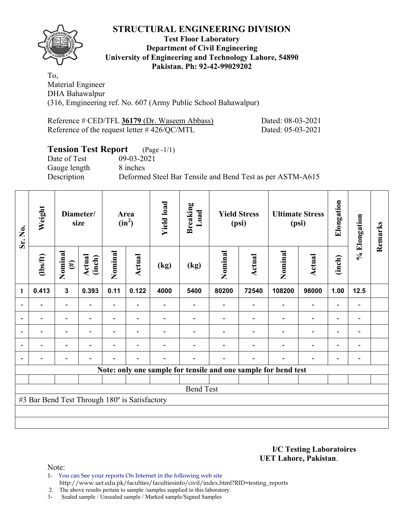

### **Test Floor Laboratory Department of Civil Engineering University of Engineering and Technology Lahore, 54890 Pakistan. Ph: 92-42-99029202**

To, Material Engineer DHA Bahawalpur (316, Emgineering ref. No. 607 (Army Public School Bahawalpur)

| Reference # CED/TFL 36179 (Dr. Waseem Abbass)   | Dated: 08-03-2021 |
|-------------------------------------------------|-------------------|
| Reference of the request letter $\#$ 426/QC/MTL | Dated: 05-03-2021 |

# **Tension Test Report** (Page -1/1)

Date of Test 09-03-2021 Gauge length 8 inches

Description Deformed Steel Bar Tensile and Bend Test as per ASTM-A615

| Sr. No. | Weight                                        |                          | Diameter/<br>size        |                          | Area<br>$(in^2)$         | <b>Yield load</b> | <b>Breaking</b><br>Load |         | <b>Yield Stress</b><br>(psi) |                                                                | <b>Ultimate Stress</b><br>(psi) | Elongation               | % Elongation             | Remarks |
|---------|-----------------------------------------------|--------------------------|--------------------------|--------------------------|--------------------------|-------------------|-------------------------|---------|------------------------------|----------------------------------------------------------------|---------------------------------|--------------------------|--------------------------|---------|
|         | $\frac{2}{10}$                                | Nominal<br>$(\#)$        | Actual<br>(inch)         | Nominal                  | Actual                   | (kg)              | (kg)                    | Nominal | Actual                       | Nominal                                                        | <b>Actual</b>                   | (inch)                   |                          |         |
| 1       | 0.413                                         | $\mathbf{3}$             | 0.393                    | 0.11                     | 0.122                    | 4000              | 5400                    | 80200   | 72540                        | 108200                                                         | 98000                           | 1.00                     | 12.5                     |         |
|         |                                               | $\blacksquare$           |                          | $\overline{\phantom{0}}$ | $\overline{\phantom{0}}$ |                   |                         |         |                              | $\overline{\phantom{0}}$                                       | $\overline{\phantom{a}}$        |                          |                          |         |
|         |                                               | $\blacksquare$           |                          | $\blacksquare$           |                          |                   |                         |         |                              |                                                                | $\blacksquare$                  | $\blacksquare$           | $\blacksquare$           |         |
|         | $\overline{\phantom{0}}$                      | $\overline{\phantom{0}}$ |                          |                          | $\overline{\phantom{a}}$ |                   |                         |         |                              |                                                                | $\overline{\phantom{0}}$        | $\overline{\phantom{0}}$ | $\overline{\phantom{a}}$ |         |
|         | $\blacksquare$                                | $\overline{\phantom{0}}$ | $\overline{\phantom{0}}$ | $\blacksquare$           | $\overline{\phantom{a}}$ |                   |                         |         |                              | $\blacksquare$                                                 | $\blacksquare$                  | $\blacksquare$           | $\blacksquare$           |         |
|         | $\overline{\phantom{0}}$                      | $\overline{\phantom{0}}$ |                          |                          | $\blacksquare$           |                   |                         |         |                              |                                                                | $\overline{\phantom{0}}$        | $\overline{\phantom{0}}$ |                          |         |
|         |                                               |                          |                          |                          |                          |                   |                         |         |                              | Note: only one sample for tensile and one sample for bend test |                                 |                          |                          |         |
|         |                                               |                          |                          |                          |                          |                   |                         |         |                              |                                                                |                                 |                          |                          |         |
|         |                                               |                          |                          |                          |                          |                   | <b>Bend Test</b>        |         |                              |                                                                |                                 |                          |                          |         |
|         | #3 Bar Bend Test Through 180° is Satisfactory |                          |                          |                          |                          |                   |                         |         |                              |                                                                |                                 |                          |                          |         |
|         |                                               |                          |                          |                          |                          |                   |                         |         |                              |                                                                |                                 |                          |                          |         |
|         |                                               |                          |                          |                          |                          |                   |                         |         |                              |                                                                |                                 |                          |                          |         |

**I/C Testing Laboratoires UET Lahore, Pakistan**.

Note:

1- You can See your reports On Internet in the following web site http://www.uet.edu.pk/faculties/facultiesinfo/civil/index.html?RID=testing\_reports

2. The above results pertain to sample /samples supplied to this laboratory.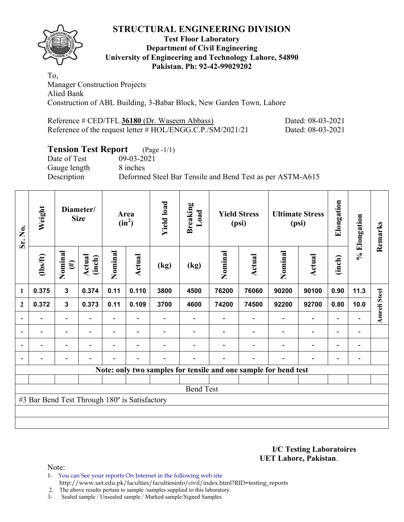

#### **Test Floor Laboratory Department of Civil Engineering University of Engineering and Technology Lahore, 54890 Pakistan. Ph: 92-42-99029202**

To, Manager Construction Projects Alied Bank Construction of ABL Building, 3-Babar Block, New Garden Town, Lahore

| Reference # CED/TFL 36180 (Dr. Waseem Abbass)              | Dated: 08-03-2021 |
|------------------------------------------------------------|-------------------|
| Reference of the request letter # HOL/ENGG.C.P./SM/2021/21 | Dated: 08-03-2021 |

# **Tension Test Report** (Page -1/1)

Date of Test 09-03-2021 Gauge length 8 inches

Description Deformed Steel Bar Tensile and Bend Test as per ASTM-A615

| Sr. No.        | Weight                                        |                          | Diameter/<br><b>Size</b> |         | Area<br>$(in^2)$         | <b>Yield load</b>        | <b>Breaking</b><br>Load |         | <b>Yield Stress</b><br>(psi)                                    |                | <b>Ultimate Stress</b><br>(psi) | Elongation               | % Elongation                 | Remarks      |
|----------------|-----------------------------------------------|--------------------------|--------------------------|---------|--------------------------|--------------------------|-------------------------|---------|-----------------------------------------------------------------|----------------|---------------------------------|--------------------------|------------------------------|--------------|
|                | $\frac{2}{10}$                                | Nominal<br>$(\#)$        | Actual<br>(inch)         | Nominal | <b>Actual</b>            | (kg)                     | (kg)                    | Nominal | Actual                                                          | Nominal        | Actual                          | (inch)                   |                              |              |
| 1              | 0.375                                         | $\mathbf{3}$             | 0.374                    | 0.11    | 0.110                    | 3800                     | 4500                    | 76200   | 76060                                                           | 90200          | 90100                           | 0.90                     | 11.3                         |              |
| $\mathbf{2}$   | 0.372                                         | $\mathbf 3$              | 0.373                    | 0.11    | 0.109                    | 3700                     | 4600                    | 74200   | 74500                                                           | 92200          | 92700                           | 0.80                     | 10.0                         | Amreli Steel |
|                |                                               | $\overline{\phantom{0}}$ |                          |         |                          |                          |                         |         |                                                                 |                | $\overline{\phantom{0}}$        | ۰                        |                              |              |
|                | $\overline{\phantom{0}}$                      | $\overline{\phantom{a}}$ |                          |         | ٠                        |                          |                         |         | $\overline{\phantom{0}}$                                        |                | $\overline{\phantom{0}}$        | $\overline{\phantom{a}}$ | $\qquad \qquad \blacksquare$ |              |
| $\blacksquare$ | $\overline{\phantom{0}}$                      | $\overline{\phantom{a}}$ |                          | Ξ.      | $\overline{\phantom{a}}$ |                          |                         |         | $\blacksquare$                                                  | $\blacksquare$ | $\overline{a}$                  | $\overline{\phantom{0}}$ | $\overline{\phantom{0}}$     |              |
|                | $\overline{\phantom{0}}$                      | $\overline{\phantom{a}}$ |                          |         | $\overline{\phantom{0}}$ | $\overline{\phantom{0}}$ |                         |         | $\overline{\phantom{0}}$                                        | $\blacksquare$ | $\overline{\phantom{0}}$        | $\overline{\phantom{a}}$ | $\blacksquare$               |              |
|                |                                               |                          |                          |         |                          |                          |                         |         | Note: only two samples for tensile and one sample for bend test |                |                                 |                          |                              |              |
|                |                                               |                          |                          |         |                          |                          |                         |         |                                                                 |                |                                 |                          |                              |              |
|                |                                               |                          |                          |         |                          |                          | <b>Bend Test</b>        |         |                                                                 |                |                                 |                          |                              |              |
|                | #3 Bar Bend Test Through 180° is Satisfactory |                          |                          |         |                          |                          |                         |         |                                                                 |                |                                 |                          |                              |              |
|                |                                               |                          |                          |         |                          |                          |                         |         |                                                                 |                |                                 |                          |                              |              |
|                |                                               |                          |                          |         |                          |                          |                         |         |                                                                 |                |                                 |                          |                              |              |

**I/C Testing Laboratoires UET Lahore, Pakistan**.

Note:

1- You can See your reports On Internet in the following web site http://www.uet.edu.pk/faculties/facultiesinfo/civil/index.html?RID=testing\_reports

2. The above results pertain to sample /samples supplied to this laboratory.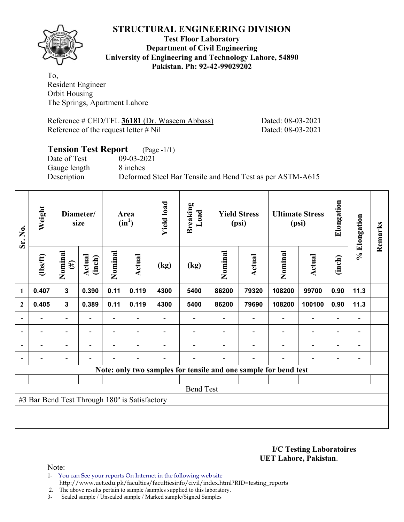

#### **Test Floor Laboratory Department of Civil Engineering University of Engineering and Technology Lahore, 54890 Pakistan. Ph: 92-42-99029202**

To, Resident Engineer Orbit Housing The Springs, Apartment Lahore

Reference # CED/TFL 36181 (Dr. Waseem Abbass) Dated: 08-03-2021 Reference of the request letter # Nil Dated: 08-03-2021

## **Tension Test Report** (Page -1/1) Date of Test 09-03-2021 Gauge length 8 inches Description Deformed Steel Bar Tensile and Bend Test as per ASTM-A615

| Sr. No.          | Weight                                        |                          | Diameter/<br>size |         | <b>Yield load</b><br><b>Breaking</b><br>Load<br><b>Yield Stress</b><br>Area<br>$(in^2)$<br>(psi) |      |                  |         | <b>Ultimate Stress</b><br>(psi) | Elongation                                                      | % Elongation             | Remarks                  |                              |  |
|------------------|-----------------------------------------------|--------------------------|-------------------|---------|--------------------------------------------------------------------------------------------------|------|------------------|---------|---------------------------------|-----------------------------------------------------------------|--------------------------|--------------------------|------------------------------|--|
|                  | $\frac{2}{10}$                                | Nominal<br>$(\#)$        | Actual<br>(inch)  | Nominal | Actual                                                                                           | (kg) | (kg)             | Nominal | <b>Actual</b>                   | Nominal                                                         | <b>Actual</b>            | (inch)                   |                              |  |
| $\mathbf{1}$     | 0.407                                         | $\mathbf{3}$             | 0.390             | 0.11    | 0.119                                                                                            | 4300 | 5400             | 86200   | 79320                           | 108200                                                          | 99700                    | 0.90                     | 11.3                         |  |
| $\boldsymbol{2}$ | 0.405                                         | $\mathbf{3}$             | 0.389             | 0.11    | 0.119                                                                                            | 4300 | 5400             | 86200   | 79690                           | 108200                                                          | 100100                   | 0.90                     | 11.3                         |  |
|                  |                                               | $\overline{\phantom{0}}$ |                   |         |                                                                                                  |      |                  |         |                                 |                                                                 | $\overline{\phantom{0}}$ | $\overline{\phantom{0}}$ |                              |  |
| $\blacksquare$   | $\blacksquare$                                | $\overline{\phantom{a}}$ |                   |         | $\blacksquare$                                                                                   |      |                  |         |                                 |                                                                 | $\overline{\phantom{0}}$ | $\overline{\phantom{0}}$ | $\blacksquare$               |  |
| $\blacksquare$   | -                                             | Ξ.                       |                   |         |                                                                                                  |      |                  |         |                                 | ۰                                                               | $\blacksquare$           | $\overline{\phantom{0}}$ | $\overline{\phantom{0}}$     |  |
|                  |                                               | $\overline{a}$           |                   |         | $\blacksquare$                                                                                   |      |                  |         |                                 | $\blacksquare$                                                  | $\overline{a}$           | -                        | $\qquad \qquad \blacksquare$ |  |
|                  |                                               |                          |                   |         |                                                                                                  |      |                  |         |                                 | Note: only two samples for tensile and one sample for bend test |                          |                          |                              |  |
|                  |                                               |                          |                   |         |                                                                                                  |      |                  |         |                                 |                                                                 |                          |                          |                              |  |
|                  |                                               |                          |                   |         |                                                                                                  |      | <b>Bend Test</b> |         |                                 |                                                                 |                          |                          |                              |  |
|                  | #3 Bar Bend Test Through 180° is Satisfactory |                          |                   |         |                                                                                                  |      |                  |         |                                 |                                                                 |                          |                          |                              |  |
|                  |                                               |                          |                   |         |                                                                                                  |      |                  |         |                                 |                                                                 |                          |                          |                              |  |
|                  |                                               |                          |                   |         |                                                                                                  |      |                  |         |                                 |                                                                 |                          |                          |                              |  |

**I/C Testing Laboratoires UET Lahore, Pakistan**.

- 1- You can See your reports On Internet in the following web site http://www.uet.edu.pk/faculties/facultiesinfo/civil/index.html?RID=testing\_reports
- 2. The above results pertain to sample /samples supplied to this laboratory.
- 3- Sealed sample / Unsealed sample / Marked sample/Signed Samples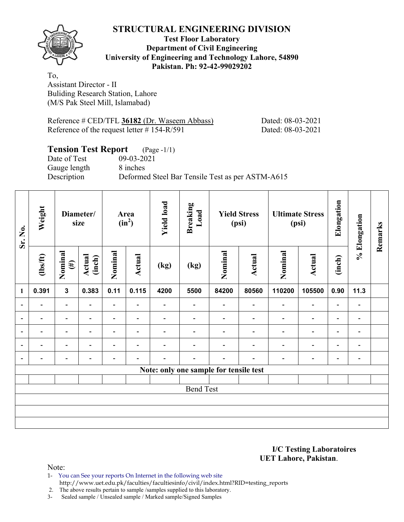**Test Floor Laboratory Department of Civil Engineering University of Engineering and Technology Lahore, 54890 Pakistan. Ph: 92-42-99029202** 

To, Assistant Director - II Buliding Research Station, Lahore (M/S Pak Steel Mill, Islamabad)

Reference # CED/TFL **36182** (Dr. Waseem Abbass) Dated: 08-03-2021 Reference of the request letter # 154-R/591 Dated: 08-03-2021

#### **Tension Test Report** (Page -1/1) Date of Test 09-03-2021

Gauge length 8 inches

Description Deformed Steel Bar Tensile Test as per ASTM-A615

| Sr. No.                  | Weight         | Diameter/<br>size        |                  |                          | Area<br>$(in^2)$         | <b>Yield load</b> | <b>Breaking</b><br>Load                |                          | <b>Yield Stress</b><br>(psi) |                          | <b>Ultimate Stress</b><br>(psi) | Elongation               | % Elongation                 | Remarks |
|--------------------------|----------------|--------------------------|------------------|--------------------------|--------------------------|-------------------|----------------------------------------|--------------------------|------------------------------|--------------------------|---------------------------------|--------------------------|------------------------------|---------|
|                          | $\frac{2}{10}$ | Nominal<br>$(\#)$        | Actual<br>(inch) | Nominal<br>Actual        |                          | (kg)              | (kg)                                   | Nominal                  | Actual                       | Nominal                  | Actual                          | (inch)                   |                              |         |
| $\mathbf{1}$             | 0.391          | $\overline{\mathbf{3}}$  | 0.383            | 0.11                     | 0.115                    | 4200              | 5500                                   | 84200                    | 80560                        | 110200                   | 105500                          | 0.90                     | 11.3                         |         |
| $\overline{\phantom{a}}$ | -              | $\overline{\phantom{a}}$ |                  | $\overline{\phantom{a}}$ |                          |                   | $\overline{\phantom{0}}$               | $\overline{\phantom{0}}$ |                              | $\overline{\phantom{0}}$ | $\overline{\phantom{a}}$        | $\overline{\phantom{a}}$ |                              |         |
| $\overline{\phantom{a}}$ | $\blacksquare$ | $\overline{\phantom{a}}$ | $\blacksquare$   | $\overline{\phantom{a}}$ | $\blacksquare$           | $\blacksquare$    | $\blacksquare$                         | $\blacksquare$           | ۰                            | $\overline{\phantom{0}}$ | $\overline{\phantom{a}}$        | $\overline{\phantom{a}}$ | $\overline{\phantom{0}}$     |         |
| $\overline{\phantom{a}}$ |                | $\overline{\phantom{0}}$ |                  | $\overline{\phantom{0}}$ | $\overline{\phantom{0}}$ |                   |                                        |                          |                              | $\overline{\phantom{0}}$ | -                               | -                        | $\qquad \qquad \blacksquare$ |         |
| $\overline{\phantom{a}}$ |                | $\blacksquare$           |                  | ۰                        | $\overline{\phantom{0}}$ |                   |                                        |                          |                              | $\overline{\phantom{0}}$ | $\overline{\phantom{0}}$        | $\overline{\phantom{a}}$ | $\overline{\phantom{0}}$     |         |
| $\overline{\phantom{a}}$ |                |                          |                  |                          |                          |                   |                                        |                          |                              |                          | -                               | -                        | $\blacksquare$               |         |
|                          |                |                          |                  |                          |                          |                   | Note: only one sample for tensile test |                          |                              |                          |                                 |                          |                              |         |
|                          |                |                          |                  |                          |                          |                   |                                        |                          |                              |                          |                                 |                          |                              |         |
|                          |                |                          |                  |                          |                          |                   | <b>Bend Test</b>                       |                          |                              |                          |                                 |                          |                              |         |
|                          |                |                          |                  |                          |                          |                   |                                        |                          |                              |                          |                                 |                          |                              |         |
|                          |                |                          |                  |                          |                          |                   |                                        |                          |                              |                          |                                 |                          |                              |         |
|                          |                |                          |                  |                          |                          |                   |                                        |                          |                              |                          |                                 |                          |                              |         |

**I/C Testing Laboratoires UET Lahore, Pakistan**.

Note:

1- You can See your reports On Internet in the following web site http://www.uet.edu.pk/faculties/facultiesinfo/civil/index.html?RID=testing\_reports

2. The above results pertain to sample /samples supplied to this laboratory.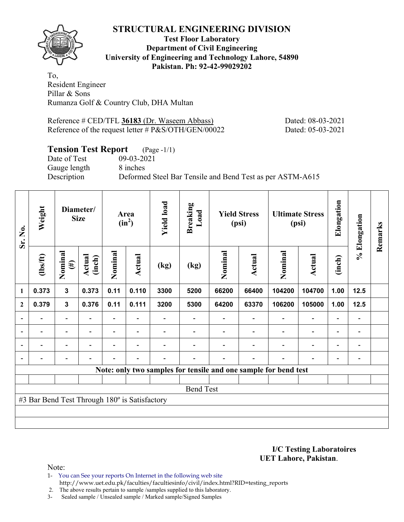

### **Test Floor Laboratory Department of Civil Engineering University of Engineering and Technology Lahore, 54890 Pakistan. Ph: 92-42-99029202**

To, Resident Engineer Pillar & Sons Rumanza Golf & Country Club, DHA Multan

Reference # CED/TFL **36183** (Dr. Waseem Abbass) Dated: 08-03-2021 Reference of the request letter # P&S/OTH/GEN/00022 Dated: 05-03-2021

## **Tension Test Report** (Page -1/1)

Date of Test 09-03-2021 Gauge length 8 inches

Description Deformed Steel Bar Tensile and Bend Test as per ASTM-A615

| Sr. No.                  | Weight                                        |                          | Diameter/<br><b>Size</b> |                          | Area<br>$(in^2)$         | <b>Yield load</b> | <b>Breaking</b><br>Load |         | <b>Yield Stress</b><br>(psi) |                                                                 | <b>Ultimate Stress</b><br>(psi) | Elongation               | % Elongation   | Remarks |
|--------------------------|-----------------------------------------------|--------------------------|--------------------------|--------------------------|--------------------------|-------------------|-------------------------|---------|------------------------------|-----------------------------------------------------------------|---------------------------------|--------------------------|----------------|---------|
|                          | (1bs/ft)                                      | Nominal<br>$(\#)$        | Actual<br>(inch)         | Nominal                  | Actual                   | (kg)              | (kg)                    | Nominal | <b>Actual</b>                | Nominal                                                         | Actual                          | (inch)                   |                |         |
| 1                        | 0.373                                         | $\mathbf{3}$             | 0.373                    | 0.11                     | 0.110                    | 3300              | 5200                    | 66200   | 66400                        | 104200                                                          | 104700                          | 1.00                     | 12.5           |         |
| $\mathbf{2}$             | 0.379                                         | $\mathbf{3}$             | 0.376                    | 0.11                     | 0.111                    | 3200              | 5300                    | 64200   | 63370                        | 106200                                                          | 105000                          | 1.00                     | 12.5           |         |
|                          |                                               |                          |                          |                          |                          |                   |                         |         |                              |                                                                 |                                 |                          | $\blacksquare$ |         |
| $\blacksquare$           |                                               | $\overline{\phantom{0}}$ |                          |                          | $\blacksquare$           |                   |                         |         |                              |                                                                 | $\blacksquare$                  | $\overline{\phantom{0}}$ | $\blacksquare$ |         |
| $\overline{\phantom{a}}$ |                                               | $\overline{\phantom{0}}$ | $\blacksquare$           | $\overline{\phantom{0}}$ | $\blacksquare$           |                   |                         |         |                              | $\overline{\phantom{0}}$                                        | $\overline{\phantom{0}}$        | $\overline{\phantom{0}}$ | $\blacksquare$ |         |
| $\blacksquare$           |                                               |                          |                          |                          | $\overline{\phantom{a}}$ |                   |                         |         |                              |                                                                 | $\overline{\phantom{0}}$        |                          |                |         |
|                          |                                               |                          |                          |                          |                          |                   |                         |         |                              | Note: only two samples for tensile and one sample for bend test |                                 |                          |                |         |
|                          |                                               |                          |                          |                          |                          |                   |                         |         |                              |                                                                 |                                 |                          |                |         |
|                          |                                               |                          |                          |                          |                          |                   | <b>Bend Test</b>        |         |                              |                                                                 |                                 |                          |                |         |
|                          | #3 Bar Bend Test Through 180° is Satisfactory |                          |                          |                          |                          |                   |                         |         |                              |                                                                 |                                 |                          |                |         |
|                          |                                               |                          |                          |                          |                          |                   |                         |         |                              |                                                                 |                                 |                          |                |         |
|                          |                                               |                          |                          |                          |                          |                   |                         |         |                              |                                                                 |                                 |                          |                |         |

**I/C Testing Laboratoires UET Lahore, Pakistan**.

Note:

1- You can See your reports On Internet in the following web site http://www.uet.edu.pk/faculties/facultiesinfo/civil/index.html?RID=testing\_reports

2. The above results pertain to sample /samples supplied to this laboratory.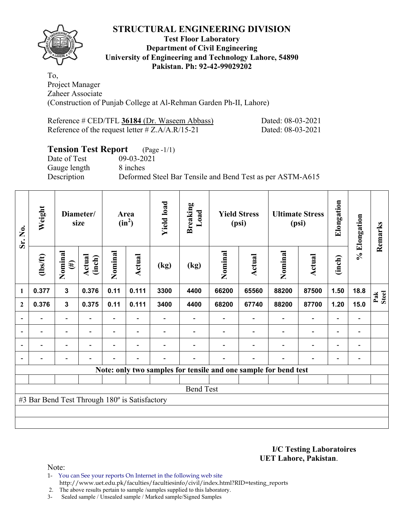

#### **Test Floor Laboratory Department of Civil Engineering University of Engineering and Technology Lahore, 54890 Pakistan. Ph: 92-42-99029202**

To, Project Manager Zaheer Associate (Construction of Punjab College at Al-Rehman Garden Ph-II, Lahore)

| Reference # CED/TFL 36184 (Dr. Waseem Abbass)      | Dated: 08-03-2021 |
|----------------------------------------------------|-------------------|
| Reference of the request letter $\# Z.A/A.R/15-21$ | Dated: 08-03-2021 |

# **Tension Test Report** (Page -1/1)

Gauge length 8 inches

Date of Test 09-03-2021 Description Deformed Steel Bar Tensile and Bend Test as per ASTM-A615

| Sr. No.                  | Weight                                        |                              | Diameter/<br>size        |                          | Area<br>$(in^2)$         | <b>Yield load</b>        | <b>Breaking</b><br>Load                                         |         | <b>Yield Stress</b><br>(psi) |                          | <b>Ultimate Stress</b><br>(psi) | Elongation               | % Elongation                 | Remarks      |
|--------------------------|-----------------------------------------------|------------------------------|--------------------------|--------------------------|--------------------------|--------------------------|-----------------------------------------------------------------|---------|------------------------------|--------------------------|---------------------------------|--------------------------|------------------------------|--------------|
|                          | $\frac{2}{10}$                                | Nominal<br>$(\#)$            | Actual<br>(inch)         | Nominal                  | <b>Actual</b>            | (kg)                     | (kg)                                                            | Nominal | Actual                       | Nominal                  | Actual                          | (inch)                   |                              |              |
| 1                        | 0.377                                         | $\mathbf{3}$                 | 0.376                    | 0.11                     | 0.111                    | 3300                     | 4400                                                            | 66200   | 65560                        | 88200                    | 87500                           | 1.50                     | 18.8                         | Pak<br>Steel |
| $\overline{2}$           | 0.376                                         | $\mathbf 3$                  | 0.375                    | 0.11                     | 0.111                    | 3400                     | 4400                                                            | 68200   | 67740                        | 88200                    | 87700                           | 1.20                     | 15.0                         |              |
|                          |                                               | $\overline{\phantom{0}}$     |                          |                          |                          |                          |                                                                 |         |                              |                          |                                 |                          | $\qquad \qquad \blacksquare$ |              |
| $\overline{\phantom{a}}$ | $\overline{\phantom{0}}$                      | $\overline{\phantom{a}}$     | $\overline{\phantom{a}}$ | $\overline{\phantom{0}}$ | $\overline{\phantom{a}}$ |                          |                                                                 |         |                              | $\overline{\phantom{a}}$ | $\overline{\phantom{a}}$        | $\overline{\phantom{a}}$ | $\qquad \qquad \blacksquare$ |              |
|                          | $\overline{\phantom{0}}$                      | $\overline{\phantom{0}}$     | -                        | $\overline{\phantom{0}}$ | $\overline{\phantom{a}}$ |                          |                                                                 |         |                              |                          | $\overline{\phantom{0}}$        | $\overline{\phantom{0}}$ | $\qquad \qquad \blacksquare$ |              |
|                          | $\overline{\phantom{0}}$                      | $\qquad \qquad \blacksquare$ | -                        | $\overline{a}$           | $\overline{\phantom{a}}$ | $\overline{\phantom{0}}$ | $\blacksquare$                                                  |         |                              |                          | $\overline{\phantom{0}}$        | $\overline{\phantom{0}}$ | $\qquad \qquad \blacksquare$ |              |
|                          |                                               |                              |                          |                          |                          |                          | Note: only two samples for tensile and one sample for bend test |         |                              |                          |                                 |                          |                              |              |
|                          |                                               |                              |                          |                          |                          |                          |                                                                 |         |                              |                          |                                 |                          |                              |              |
|                          |                                               |                              |                          |                          |                          |                          | <b>Bend Test</b>                                                |         |                              |                          |                                 |                          |                              |              |
|                          | #3 Bar Bend Test Through 180° is Satisfactory |                              |                          |                          |                          |                          |                                                                 |         |                              |                          |                                 |                          |                              |              |
|                          |                                               |                              |                          |                          |                          |                          |                                                                 |         |                              |                          |                                 |                          |                              |              |
|                          |                                               |                              |                          |                          |                          |                          |                                                                 |         |                              |                          |                                 |                          |                              |              |

**I/C Testing Laboratoires UET Lahore, Pakistan**.

Note:

1- You can See your reports On Internet in the following web site http://www.uet.edu.pk/faculties/facultiesinfo/civil/index.html?RID=testing\_reports

2. The above results pertain to sample /samples supplied to this laboratory.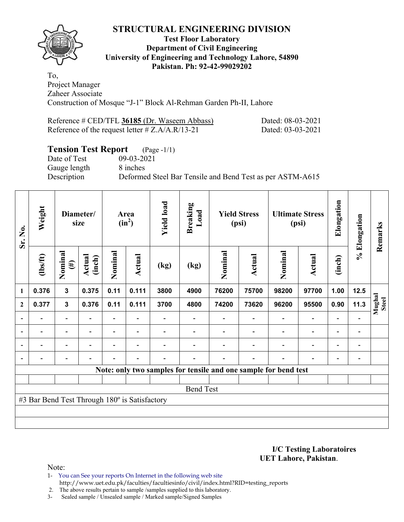

#### **Test Floor Laboratory Department of Civil Engineering University of Engineering and Technology Lahore, 54890 Pakistan. Ph: 92-42-99029202**

To, Project Manager Zaheer Associate Construction of Mosque "J-1" Block Al-Rehman Garden Ph-II, Lahore

| Reference # CED/TFL 36185 (Dr. Waseem Abbass)      | Dated: 08-03-2021 |
|----------------------------------------------------|-------------------|
| Reference of the request letter $\# Z.A/A.R/13-21$ | Dated: 03-03-2021 |

## **Tension Test Report** (Page -1/1)

Gauge length 8 inches

Date of Test 09-03-2021 Description Deformed Steel Bar Tensile and Bend Test as per ASTM-A615

| Sr. No.                  | Weight                                        |                          | Diameter/<br>size        | <b>Yield load</b><br><b>Breaking</b><br>Load<br><b>Yield Stress</b><br>Area<br>$(in^2)$<br>(psi) |                          |      | <b>Ultimate Stress</b><br>(psi) |         | Elongation                                                      | % Elongation             | Remarks                  |                              |                          |                        |
|--------------------------|-----------------------------------------------|--------------------------|--------------------------|--------------------------------------------------------------------------------------------------|--------------------------|------|---------------------------------|---------|-----------------------------------------------------------------|--------------------------|--------------------------|------------------------------|--------------------------|------------------------|
|                          | $\frac{2}{10}$                                | Nominal<br>$(\#)$        | Actual<br>(inch)         | Nominal                                                                                          | <b>Actual</b>            | (kg) | (kg)                            | Nominal | Actual                                                          | Nominal                  | <b>Actual</b>            | (inch)                       |                          |                        |
| 1                        | 0.376                                         | $\mathbf{3}$             | 0.375                    | 0.11                                                                                             | 0.111                    | 3800 | 4900                            | 76200   | 75700                                                           | 98200                    | 97700                    | 1.00                         | 12.5                     |                        |
| $\boldsymbol{2}$         | 0.377                                         | $\mathbf{3}$             | 0.376                    | 0.11                                                                                             | 0.111                    | 3700 | 4800                            | 74200   | 73620                                                           | 96200                    | 95500                    | 0.90                         | 11.3                     | Mughal<br><b>Steel</b> |
| $\overline{a}$           |                                               | $\overline{\phantom{0}}$ |                          |                                                                                                  |                          |      |                                 |         |                                                                 |                          |                          |                              |                          |                        |
| $\overline{\phantom{0}}$ | -                                             | $\blacksquare$           | $\overline{\phantom{a}}$ | $\overline{\phantom{a}}$                                                                         | $\overline{\phantom{a}}$ |      |                                 |         | $\overline{\phantom{a}}$                                        | $\overline{\phantom{a}}$ | $\blacksquare$           | $\qquad \qquad \blacksquare$ | $\overline{\phantom{a}}$ |                        |
|                          | $\blacksquare$                                | ۰                        |                          | $\blacksquare$                                                                                   | $\overline{\phantom{0}}$ |      |                                 |         | $\blacksquare$                                                  | $\overline{\phantom{0}}$ | $\blacksquare$           | $\blacksquare$               |                          |                        |
| $\overline{a}$           | -                                             | $\overline{\phantom{0}}$ | $\overline{\phantom{0}}$ | $\overline{\phantom{0}}$                                                                         | $\overline{\phantom{a}}$ | -    |                                 |         | $\overline{\phantom{a}}$                                        | $\overline{\phantom{0}}$ | $\overline{\phantom{0}}$ | $\overline{\phantom{0}}$     | $\overline{\phantom{a}}$ |                        |
|                          |                                               |                          |                          |                                                                                                  |                          |      |                                 |         | Note: only two samples for tensile and one sample for bend test |                          |                          |                              |                          |                        |
|                          |                                               |                          |                          |                                                                                                  |                          |      |                                 |         |                                                                 |                          |                          |                              |                          |                        |
|                          |                                               |                          |                          |                                                                                                  |                          |      | <b>Bend Test</b>                |         |                                                                 |                          |                          |                              |                          |                        |
|                          | #3 Bar Bend Test Through 180° is Satisfactory |                          |                          |                                                                                                  |                          |      |                                 |         |                                                                 |                          |                          |                              |                          |                        |
|                          |                                               |                          |                          |                                                                                                  |                          |      |                                 |         |                                                                 |                          |                          |                              |                          |                        |
|                          |                                               |                          |                          |                                                                                                  |                          |      |                                 |         |                                                                 |                          |                          |                              |                          |                        |

**I/C Testing Laboratoires UET Lahore, Pakistan**.

- 1- You can See your reports On Internet in the following web site http://www.uet.edu.pk/faculties/facultiesinfo/civil/index.html?RID=testing\_reports
- 2. The above results pertain to sample /samples supplied to this laboratory.
- 3- Sealed sample / Unsealed sample / Marked sample/Signed Samples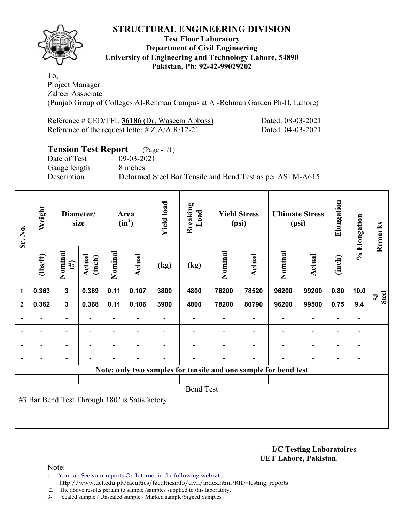

#### **Test Floor Laboratory Department of Civil Engineering University of Engineering and Technology Lahore, 54890 Pakistan. Ph: 92-42-99029202**

To, Project Manager Zaheer Associate (Punjab Group of Colleges Al-Rehman Campus at Al-Rehman Garden Ph-II, Lahore)

| Reference # CED/TFL 36186 (Dr. Waseem Abbass)      | Dated: 08-03-2021 |
|----------------------------------------------------|-------------------|
| Reference of the request letter $\# Z.A/A.R/12-21$ | Dated: 04-03-2021 |

# **Tension Test Report** (Page -1/1)

Date of Test 09-03-2021 Gauge length 8 inches

Description Deformed Steel Bar Tensile and Bend Test as per ASTM-A615

| Sr. No.        | Weight                                        | Diameter/<br>size        |                          |                | Area<br>$(in^2)$         | <b>Yield load</b><br><b>Breaking</b><br>Load |                  | <b>Yield Stress</b><br>(psi) |                                                                 | <b>Ultimate Stress</b><br>(psi) |                          | Elongation               | % Elongation             | Remarks                      |
|----------------|-----------------------------------------------|--------------------------|--------------------------|----------------|--------------------------|----------------------------------------------|------------------|------------------------------|-----------------------------------------------------------------|---------------------------------|--------------------------|--------------------------|--------------------------|------------------------------|
|                | $\frac{2}{10}$                                | Nominal<br>$(\#)$        | Actual<br>(inch)         | Nominal        | Actual                   | (kg)                                         | (kg)             | Nominal                      | <b>Actual</b>                                                   | Nominal                         | <b>Actual</b>            | (inch)                   |                          |                              |
| $\mathbf{1}$   | 0.363                                         | $\overline{\mathbf{3}}$  | 0.369                    | 0.11           | 0.107                    | 3800                                         | 4800             | 76200                        | 78520                                                           | 96200                           | 99200                    | 0.80                     | 10.0                     | <b>Steel</b><br>$\mathbf{S}$ |
| $\mathbf{2}$   | 0.362                                         | $\mathbf{3}$             | 0.368                    | 0.11           | 0.106                    | 3900                                         | 4800             | 78200                        | 80790                                                           | 96200                           | 99500                    | 0.75                     | 9.4                      |                              |
|                |                                               | $\blacksquare$           |                          |                |                          |                                              |                  |                              |                                                                 |                                 |                          | $\blacksquare$           |                          |                              |
| $\blacksquare$ | $\qquad \qquad \blacksquare$                  | $\blacksquare$           | $\blacksquare$           |                | $\overline{\phantom{a}}$ |                                              |                  |                              | $\blacksquare$                                                  | $\blacksquare$                  | $\overline{\phantom{0}}$ | $\overline{\phantom{0}}$ | $\blacksquare$           |                              |
| $\overline{a}$ |                                               | $\overline{\phantom{0}}$ | $\overline{\phantom{0}}$ |                | $\overline{\phantom{0}}$ |                                              |                  |                              | $\overline{\phantom{0}}$                                        | $\overline{\phantom{0}}$        | $\overline{a}$           | $\overline{\phantom{0}}$ | $\overline{\phantom{a}}$ |                              |
| $\blacksquare$ | $\overline{a}$                                | -                        | ۰                        | $\blacksquare$ | $\blacksquare$           | -                                            |                  |                              | $\overline{\phantom{0}}$                                        | $\overline{\phantom{0}}$        | $\overline{\phantom{0}}$ | $\overline{\phantom{0}}$ |                          |                              |
|                |                                               |                          |                          |                |                          |                                              |                  |                              | Note: only two samples for tensile and one sample for bend test |                                 |                          |                          |                          |                              |
|                |                                               |                          |                          |                |                          |                                              |                  |                              |                                                                 |                                 |                          |                          |                          |                              |
|                |                                               |                          |                          |                |                          |                                              | <b>Bend Test</b> |                              |                                                                 |                                 |                          |                          |                          |                              |
|                | #3 Bar Bend Test Through 180° is Satisfactory |                          |                          |                |                          |                                              |                  |                              |                                                                 |                                 |                          |                          |                          |                              |
|                |                                               |                          |                          |                |                          |                                              |                  |                              |                                                                 |                                 |                          |                          |                          |                              |
|                |                                               |                          |                          |                |                          |                                              |                  |                              |                                                                 |                                 |                          |                          |                          |                              |

**I/C Testing Laboratoires UET Lahore, Pakistan**.

Note:

1- You can See your reports On Internet in the following web site http://www.uet.edu.pk/faculties/facultiesinfo/civil/index.html?RID=testing\_reports

2. The above results pertain to sample /samples supplied to this laboratory.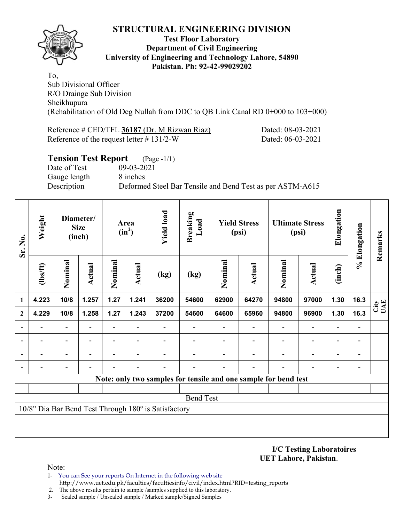

### **Test Floor Laboratory Department of Civil Engineering University of Engineering and Technology Lahore, 54890 Pakistan. Ph: 92-42-99029202**

To, Sub Divisional Officer R/O Drainge Sub Division Sheikhupura (Rehabilitation of Old Deg Nullah from DDC to QB Link Canal RD 0+000 to 103+000)

Reference # CED/TFL **36187** (Dr. M Rizwan Riaz) Dated: 08-03-2021 Reference of the request letter # 131/2-W Dated: 06-03-2021

| <b>Tension Test Report</b> | $(Page - 1/1)$                                            |
|----------------------------|-----------------------------------------------------------|
| Date of Test               | 09-03-2021                                                |
| Gauge length               | 8 inches                                                  |
| Description                | Deformed Steel Bar Tensile and Bend Test as per ASTM-A615 |
|                            |                                                           |

| Sr. No.        | Weight         | Diameter/<br><b>Size</b><br>(inch) |        | Area<br>$(in^2)$         |                          | <b>Yield load</b>                                    | <b>Breaking</b><br>Load | <b>Yield Stress</b><br>(psi) |                                                                 | <b>Ultimate Stress</b><br>(psi) |                          | Elongation               | % Elongation             | Remarks     |
|----------------|----------------|------------------------------------|--------|--------------------------|--------------------------|------------------------------------------------------|-------------------------|------------------------------|-----------------------------------------------------------------|---------------------------------|--------------------------|--------------------------|--------------------------|-------------|
|                | $\frac{2}{10}$ | Nominal                            | Actual | Nominal                  | Actual                   | (kg)                                                 | (kg)                    | Nominal                      | Actual                                                          | Nominal                         | <b>Actual</b>            | (inch)                   |                          |             |
| $\mathbf{1}$   | 4.223          | 10/8                               | 1.257  | 1.27                     | 1.241                    | 36200                                                | 54600                   | 62900                        | 64270                                                           | 94800                           | 97000                    | 1.30                     | 16.3                     | City<br>UAE |
| $\mathbf{2}$   | 4.229          | 10/8                               | 1.258  | 1.27                     | 1.243                    | 37200                                                | 54600                   | 64600                        | 65960                                                           | 94800                           | 96900                    | 1.30                     | 16.3                     |             |
| $\blacksquare$ |                | $\overline{\phantom{0}}$           |        | $\blacksquare$           |                          |                                                      |                         |                              |                                                                 |                                 | $\overline{\phantom{0}}$ | $\overline{\phantom{a}}$ | $\overline{\phantom{a}}$ |             |
| ۰              |                | $\overline{\phantom{0}}$           |        |                          |                          |                                                      |                         |                              |                                                                 | $\overline{\phantom{0}}$        | $\overline{\phantom{0}}$ | $\overline{\phantom{a}}$ | $\overline{\phantom{a}}$ |             |
|                |                | $\overline{\phantom{0}}$           |        | $\overline{\phantom{0}}$ | $\overline{\phantom{0}}$ |                                                      |                         |                              |                                                                 | $\overline{\phantom{0}}$        | $\overline{\phantom{0}}$ | $\overline{\phantom{a}}$ | $\overline{\phantom{a}}$ |             |
|                |                |                                    |        |                          |                          |                                                      |                         |                              |                                                                 |                                 |                          |                          |                          |             |
|                |                |                                    |        |                          |                          |                                                      |                         |                              | Note: only two samples for tensile and one sample for bend test |                                 |                          |                          |                          |             |
|                |                |                                    |        |                          |                          |                                                      |                         |                              |                                                                 |                                 |                          |                          |                          |             |
|                |                |                                    |        |                          |                          |                                                      | <b>Bend Test</b>        |                              |                                                                 |                                 |                          |                          |                          |             |
|                |                |                                    |        |                          |                          | 10/8" Dia Bar Bend Test Through 180° is Satisfactory |                         |                              |                                                                 |                                 |                          |                          |                          |             |
|                |                |                                    |        |                          |                          |                                                      |                         |                              |                                                                 |                                 |                          |                          |                          |             |
|                |                |                                    |        |                          |                          |                                                      |                         |                              |                                                                 |                                 |                          |                          |                          |             |

**I/C Testing Laboratoires UET Lahore, Pakistan**.

Note:

1- You can See your reports On Internet in the following web site http://www.uet.edu.pk/faculties/facultiesinfo/civil/index.html?RID=testing\_reports

2. The above results pertain to sample /samples supplied to this laboratory.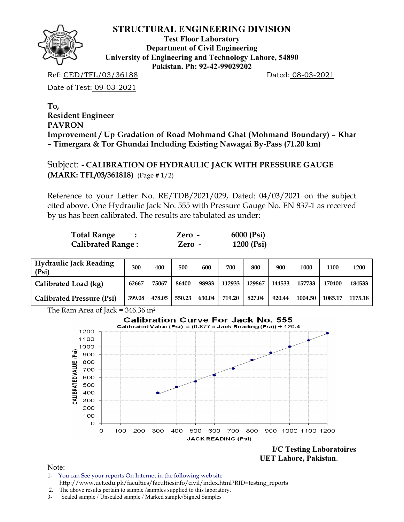

**Test Floor Laboratory Department of Civil Engineering University of Engineering and Technology Lahore, 54890 Pakistan. Ph: 92-42-99029202** 

Ref: CED/TFL/03/36188 Dated: 08-03-2021

Date of Test: 09-03-2021

**To, Resident Engineer PAVRON Improvement / Up Gradation of Road Mohmand Ghat (Mohmand Boundary) – Khar – Timergara & Tor Ghundai Including Existing Nawagai By-Pass (71.20 km)** 

Subject: **- CALIBRATION OF HYDRAULIC JACK WITH PRESSURE GAUGE (MARK: TFL/03/361818)** (Page # 1/2)

Reference to your Letter No. RE/TDB/2021/029, Dated: 04/03/2021 on the subject cited above. One Hydraulic Jack No. 555 with Pressure Gauge No. EN 837-1 as received by us has been calibrated. The results are tabulated as under:

| <b>Total Range</b>       | Zero - | 6000 (Psi) |
|--------------------------|--------|------------|
| <b>Calibrated Range:</b> | Zero - | 1200 (Psi) |

| <b>Hydraulic Jack Reading</b><br>(Psi) | 300    | 400    | 500    | 600    | 700    | 800    | 900    | 1000    | 1100    | 1200    |
|----------------------------------------|--------|--------|--------|--------|--------|--------|--------|---------|---------|---------|
| Calibrated Load (kg)                   | 62667  | 75067  | 86400  | 98933  | 112933 | 129867 | 144533 | 157733  | 170400  | 184533  |
| <b>Calibrated Pressure (Psi)</b>       | 399.08 | 478.05 | 550.23 | 630.04 | 719.20 | 827.04 | 920.44 | 1004.50 | 1085.17 | 1175.18 |

The Ram Area of Jack =  $346.36$  in<sup>2</sup>



 **UET Lahore, Pakistan**.

- 1- You can See your reports On Internet in the following web site http://www.uet.edu.pk/faculties/facultiesinfo/civil/index.html?RID=testing\_reports
- 2. The above results pertain to sample /samples supplied to this laboratory.
- 3- Sealed sample / Unsealed sample / Marked sample/Signed Samples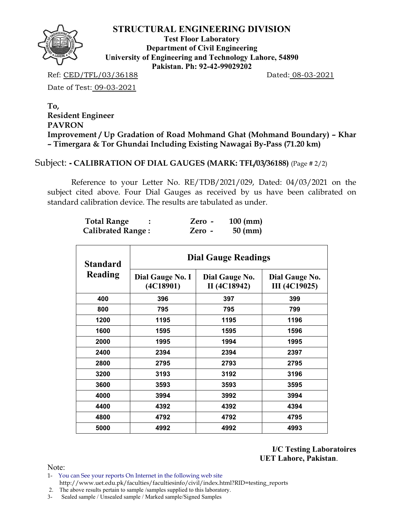

**Test Floor Laboratory Department of Civil Engineering University of Engineering and Technology Lahore, 54890 Pakistan. Ph: 92-42-99029202** 

Ref: CED/TFL/03/36188 Dated: 08-03-2021

Date of Test: 09-03-2021

**To, Resident Engineer PAVRON Improvement / Up Gradation of Road Mohmand Ghat (Mohmand Boundary) – Khar – Timergara & Tor Ghundai Including Existing Nawagai By-Pass (71.20 km)** 

## Subject: **- CALIBRATION OF DIAL GAUGES (MARK: TFL/03/36188)** (Page # 2/2)

 Reference to your Letter No. RE/TDB/2021/029, Dated: 04/03/2021 on the subject cited above. Four Dial Gauges as received by us have been calibrated on standard calibration device. The results are tabulated as under.

| <b>Total Range</b>       | Zero - | $100$ (mm)        |
|--------------------------|--------|-------------------|
| <b>Calibrated Range:</b> | Zero - | $50 \text{ (mm)}$ |

| Standard | <b>Dial Gauge Readings</b>    |                                |                                        |  |  |  |  |  |
|----------|-------------------------------|--------------------------------|----------------------------------------|--|--|--|--|--|
| Reading  | Dial Gauge No. I<br>(4C18901) | Dial Gauge No.<br>II (4C18942) | Dial Gauge No.<br><b>III</b> (4C19025) |  |  |  |  |  |
| 400      | 396                           | 397                            | 399                                    |  |  |  |  |  |
| 800      | 795                           | 795                            | 799                                    |  |  |  |  |  |
| 1200     | 1195                          | 1195                           | 1196                                   |  |  |  |  |  |
| 1600     | 1595                          | 1595                           | 1596                                   |  |  |  |  |  |
| 2000     | 1995                          | 1994                           | 1995                                   |  |  |  |  |  |
| 2400     | 2394                          | 2394                           | 2397                                   |  |  |  |  |  |
| 2800     | 2795                          | 2793                           | 2795                                   |  |  |  |  |  |
| 3200     | 3193                          | 3192                           | 3196                                   |  |  |  |  |  |
| 3600     | 3593                          | 3593                           | 3595                                   |  |  |  |  |  |
| 4000     | 3994                          | 3992                           | 3994                                   |  |  |  |  |  |
| 4400     | 4392                          | 4392                           | 4394                                   |  |  |  |  |  |
| 4800     | 4792                          | 4792                           | 4795                                   |  |  |  |  |  |
| 5000     | 4992                          | 4992                           | 4993                                   |  |  |  |  |  |

**I/C Testing Laboratoires UET Lahore, Pakistan**.

Note:

1- You can See your reports On Internet in the following web site http://www.uet.edu.pk/faculties/facultiesinfo/civil/index.html?RID=testing\_reports

2. The above results pertain to sample /samples supplied to this laboratory.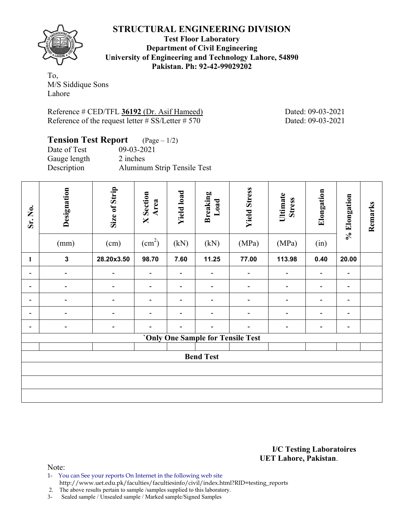**Test Floor Laboratory Department of Civil Engineering University of Engineering and Technology Lahore, 54890 Pakistan. Ph: 92-42-99029202** 

To, M/S Siddique Sons Lahore

Reference # CED/TFL **36192** (Dr. Asif Hameed) Dated: 09-03-2021 Reference of the request letter  $\#$  SS/Letter  $\#$  570 Dated: 09-03-2021

| <b>Tension Test Report</b> $(Page-1/2)$ |                             |
|-----------------------------------------|-----------------------------|
| Date of Test                            | $09 - 03 - 2021$            |
| Gauge length                            | 2 inches                    |
| Description                             | Aluminum Strip Tensile Test |

| Sr. No.      | Designation<br>(mm)      | Size of Strip<br>(cm)    | <b>X</b> Section<br>Area<br>$\text{(cm}^2\text{)}$ | <b>Yield load</b><br>(kN)    | <b>Breaking</b><br>Load<br>(kN)   | <b>Yield Stress</b><br>(MPa) | Ultimate<br><b>Stress</b><br>(MPa) | Elongation<br>(in) | % Elongation             | Remarks |
|--------------|--------------------------|--------------------------|----------------------------------------------------|------------------------------|-----------------------------------|------------------------------|------------------------------------|--------------------|--------------------------|---------|
| $\mathbf{1}$ | $\mathbf{3}$             | 28.20x3.50               | 98.70                                              | 7.60                         | 11.25                             | 77.00                        | 113.98                             | 0.40               | 20.00                    |         |
| -            | $\overline{\phantom{a}}$ | $\blacksquare$           | $\blacksquare$                                     | $\qquad \qquad \blacksquare$ | $\qquad \qquad \blacksquare$      | $\qquad \qquad \blacksquare$ | $\overline{a}$                     | $\blacksquare$     | $\overline{\phantom{0}}$ |         |
| -            | $\overline{\phantom{0}}$ | $\overline{\phantom{0}}$ | $\overline{\phantom{a}}$                           | $\overline{\phantom{0}}$     |                                   | $\overline{a}$               | $\overline{\phantom{a}}$           | $\blacksquare$     | $\overline{\phantom{0}}$ |         |
|              | ۰                        |                          |                                                    |                              |                                   |                              |                                    | ٠                  |                          |         |
| -            | $\overline{\phantom{0}}$ | $\overline{\phantom{0}}$ | $\overline{\phantom{a}}$                           | -                            |                                   | -                            | $\qquad \qquad \blacksquare$       |                    | $\overline{\phantom{0}}$ |         |
|              | -                        |                          |                                                    |                              |                                   |                              |                                    |                    | $\overline{\phantom{0}}$ |         |
|              |                          |                          |                                                    |                              | 'Only One Sample for Tensile Test |                              |                                    |                    |                          |         |
|              | <b>Bend Test</b>         |                          |                                                    |                              |                                   |                              |                                    |                    |                          |         |
|              |                          |                          |                                                    |                              |                                   |                              |                                    |                    |                          |         |
|              |                          |                          |                                                    |                              |                                   |                              |                                    |                    |                          |         |

**I/C Testing Laboratoires UET Lahore, Pakistan**.

Note:

- 1- You can See your reports On Internet in the following web site
- http://www.uet.edu.pk/faculties/facultiesinfo/civil/index.html?RID=testing\_reports

2. The above results pertain to sample /samples supplied to this laboratory.